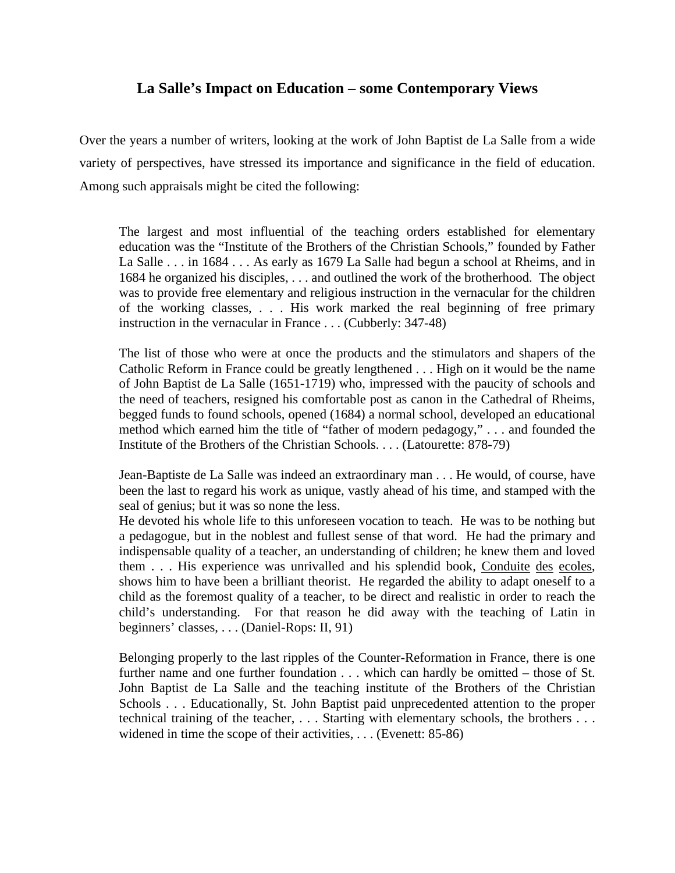## **La Salle's Impact on Education – some Contemporary Views**

Over the years a number of writers, looking at the work of John Baptist de La Salle from a wide variety of perspectives, have stressed its importance and significance in the field of education. Among such appraisals might be cited the following:

The largest and most influential of the teaching orders established for elementary education was the "Institute of the Brothers of the Christian Schools," founded by Father La Salle . . . in 1684 . . . As early as 1679 La Salle had begun a school at Rheims, and in 1684 he organized his disciples, . . . and outlined the work of the brotherhood. The object was to provide free elementary and religious instruction in the vernacular for the children of the working classes, . . . His work marked the real beginning of free primary instruction in the vernacular in France . . . (Cubberly: 347-48)

The list of those who were at once the products and the stimulators and shapers of the Catholic Reform in France could be greatly lengthened . . . High on it would be the name of John Baptist de La Salle (1651-1719) who, impressed with the paucity of schools and the need of teachers, resigned his comfortable post as canon in the Cathedral of Rheims, begged funds to found schools, opened (1684) a normal school, developed an educational method which earned him the title of "father of modern pedagogy," . . . and founded the Institute of the Brothers of the Christian Schools. . . . (Latourette: 878-79)

Jean-Baptiste de La Salle was indeed an extraordinary man . . . He would, of course, have been the last to regard his work as unique, vastly ahead of his time, and stamped with the seal of genius; but it was so none the less.

He devoted his whole life to this unforeseen vocation to teach. He was to be nothing but a pedagogue, but in the noblest and fullest sense of that word. He had the primary and indispensable quality of a teacher, an understanding of children; he knew them and loved them . . . His experience was unrivalled and his splendid book, Conduite des ecoles, shows him to have been a brilliant theorist. He regarded the ability to adapt oneself to a child as the foremost quality of a teacher, to be direct and realistic in order to reach the child's understanding. For that reason he did away with the teaching of Latin in beginners' classes, . . . (Daniel-Rops: II, 91)

Belonging properly to the last ripples of the Counter-Reformation in France, there is one further name and one further foundation . . . which can hardly be omitted – those of St. John Baptist de La Salle and the teaching institute of the Brothers of the Christian Schools . . . Educationally, St. John Baptist paid unprecedented attention to the proper technical training of the teacher, . . . Starting with elementary schools, the brothers . . . widened in time the scope of their activities, . . . (Evenett: 85-86)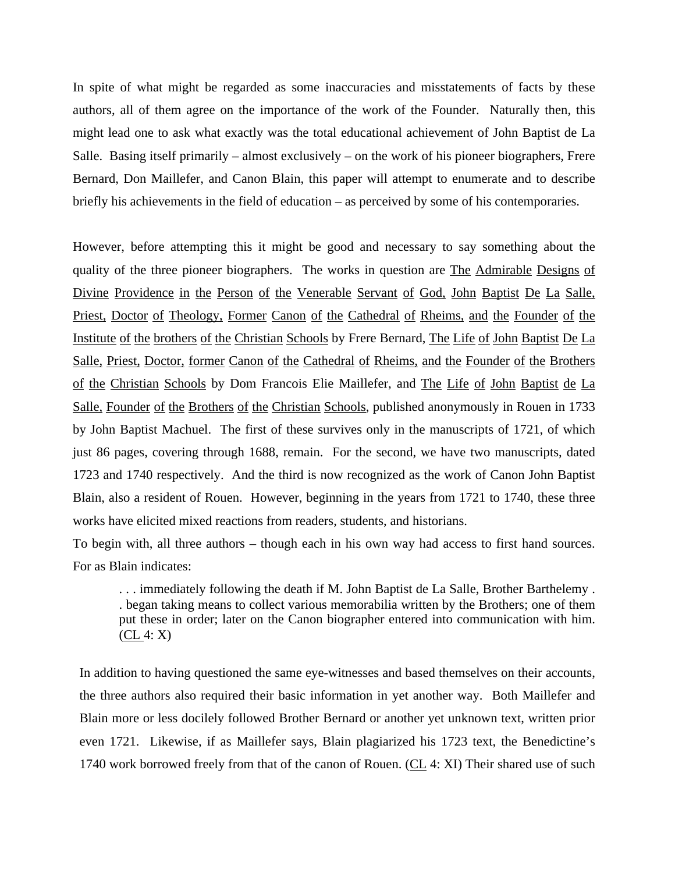In spite of what might be regarded as some inaccuracies and misstatements of facts by these authors, all of them agree on the importance of the work of the Founder. Naturally then, this might lead one to ask what exactly was the total educational achievement of John Baptist de La Salle. Basing itself primarily – almost exclusively – on the work of his pioneer biographers, Frere Bernard, Don Maillefer, and Canon Blain, this paper will attempt to enumerate and to describe briefly his achievements in the field of education – as perceived by some of his contemporaries.

However, before attempting this it might be good and necessary to say something about the quality of the three pioneer biographers. The works in question are The Admirable Designs of Divine Providence in the Person of the Venerable Servant of God, John Baptist De La Salle, Priest, Doctor of Theology, Former Canon of the Cathedral of Rheims, and the Founder of the Institute of the brothers of the Christian Schools by Frere Bernard, The Life of John Baptist De La Salle, Priest, Doctor, former Canon of the Cathedral of Rheims, and the Founder of the Brothers of the Christian Schools by Dom Francois Elie Maillefer, and The Life of John Baptist de La Salle, Founder of the Brothers of the Christian Schools, published anonymously in Rouen in 1733 by John Baptist Machuel. The first of these survives only in the manuscripts of 1721, of which just 86 pages, covering through 1688, remain. For the second, we have two manuscripts, dated 1723 and 1740 respectively. And the third is now recognized as the work of Canon John Baptist Blain, also a resident of Rouen. However, beginning in the years from 1721 to 1740, these three works have elicited mixed reactions from readers, students, and historians.

To begin with, all three authors – though each in his own way had access to first hand sources. For as Blain indicates:

. . . immediately following the death if M. John Baptist de La Salle, Brother Barthelemy . . began taking means to collect various memorabilia written by the Brothers; one of them put these in order; later on the Canon biographer entered into communication with him.  $(CL 4: X)$ 

In addition to having questioned the same eye-witnesses and based themselves on their accounts, the three authors also required their basic information in yet another way. Both Maillefer and Blain more or less docilely followed Brother Bernard or another yet unknown text, written prior even 1721. Likewise, if as Maillefer says, Blain plagiarized his 1723 text, the Benedictine's 1740 work borrowed freely from that of the canon of Rouen. (CL 4: XI) Their shared use of such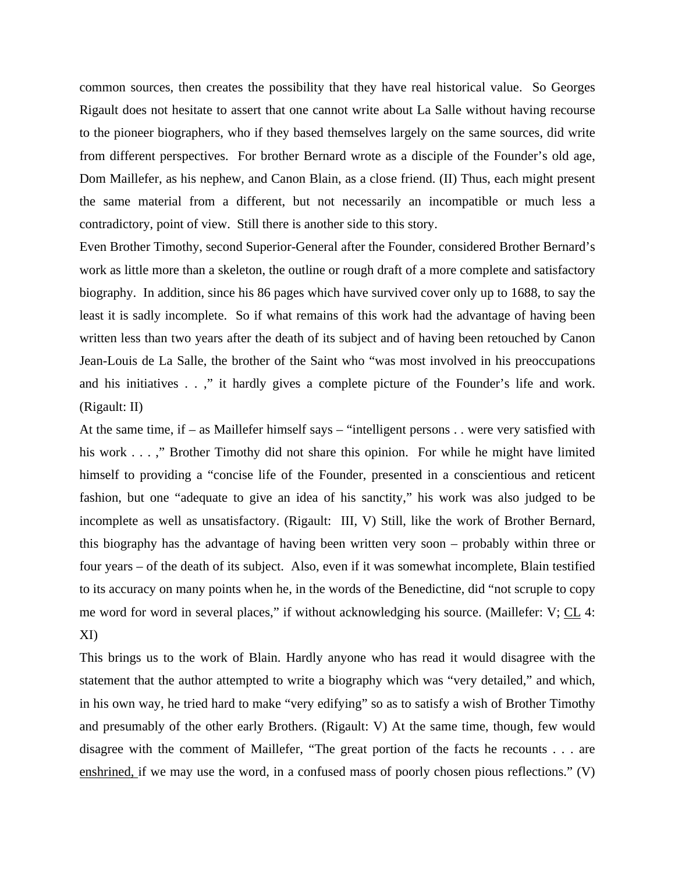common sources, then creates the possibility that they have real historical value. So Georges Rigault does not hesitate to assert that one cannot write about La Salle without having recourse to the pioneer biographers, who if they based themselves largely on the same sources, did write from different perspectives. For brother Bernard wrote as a disciple of the Founder's old age, Dom Maillefer, as his nephew, and Canon Blain, as a close friend. (II) Thus, each might present the same material from a different, but not necessarily an incompatible or much less a contradictory, point of view. Still there is another side to this story.

Even Brother Timothy, second Superior-General after the Founder, considered Brother Bernard's work as little more than a skeleton, the outline or rough draft of a more complete and satisfactory biography. In addition, since his 86 pages which have survived cover only up to 1688, to say the least it is sadly incomplete. So if what remains of this work had the advantage of having been written less than two years after the death of its subject and of having been retouched by Canon Jean-Louis de La Salle, the brother of the Saint who "was most involved in his preoccupations and his initiatives . . ," it hardly gives a complete picture of the Founder's life and work. (Rigault: II)

At the same time, if – as Maillefer himself says – "intelligent persons . . were very satisfied with his work . . . ," Brother Timothy did not share this opinion. For while he might have limited himself to providing a "concise life of the Founder, presented in a conscientious and reticent fashion, but one "adequate to give an idea of his sanctity," his work was also judged to be incomplete as well as unsatisfactory. (Rigault: III, V) Still, like the work of Brother Bernard, this biography has the advantage of having been written very soon – probably within three or four years – of the death of its subject. Also, even if it was somewhat incomplete, Blain testified to its accuracy on many points when he, in the words of the Benedictine, did "not scruple to copy me word for word in several places," if without acknowledging his source. (Maillefer: V; CL 4: XI)

This brings us to the work of Blain. Hardly anyone who has read it would disagree with the statement that the author attempted to write a biography which was "very detailed," and which, in his own way, he tried hard to make "very edifying" so as to satisfy a wish of Brother Timothy and presumably of the other early Brothers. (Rigault: V) At the same time, though, few would disagree with the comment of Maillefer, "The great portion of the facts he recounts . . . are enshrined, if we may use the word, in a confused mass of poorly chosen pious reflections." (V)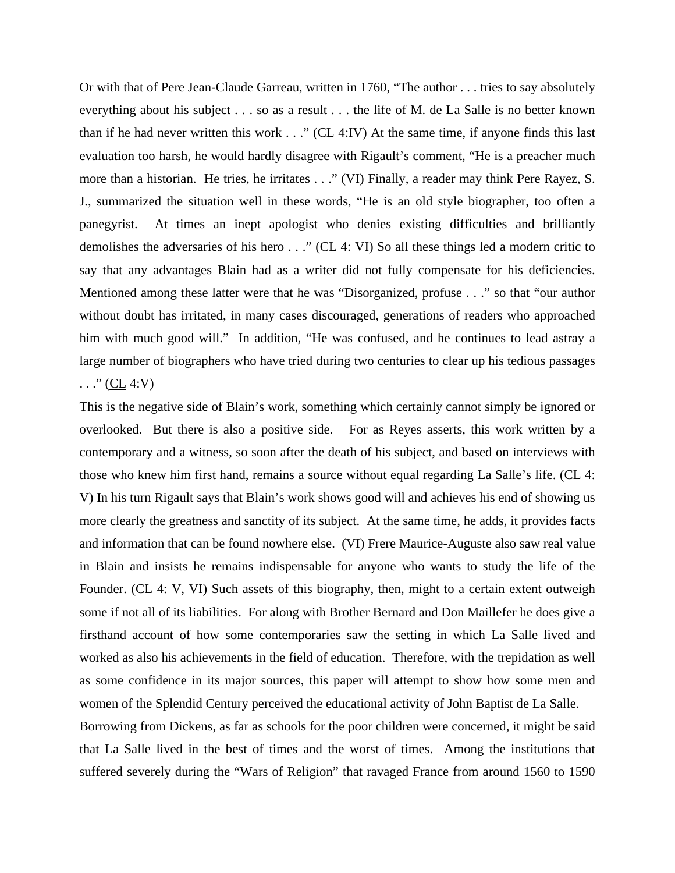Or with that of Pere Jean-Claude Garreau, written in 1760, "The author . . . tries to say absolutely everything about his subject . . . so as a result . . . the life of M. de La Salle is no better known than if he had never written this work  $\ldots$  " (CL 4:IV) At the same time, if anyone finds this last evaluation too harsh, he would hardly disagree with Rigault's comment, "He is a preacher much more than a historian. He tries, he irritates . . ." (VI) Finally, a reader may think Pere Rayez, S. J., summarized the situation well in these words, "He is an old style biographer, too often a panegyrist. At times an inept apologist who denies existing difficulties and brilliantly demolishes the adversaries of his hero  $\ldots$  " (CL 4: VI) So all these things led a modern critic to say that any advantages Blain had as a writer did not fully compensate for his deficiencies. Mentioned among these latter were that he was "Disorganized, profuse . . ." so that "our author without doubt has irritated, in many cases discouraged, generations of readers who approached him with much good will." In addition, "He was confused, and he continues to lead astray a large number of biographers who have tried during two centuries to clear up his tedious passages . . . " ( $CL$  4:V)

This is the negative side of Blain's work, something which certainly cannot simply be ignored or overlooked. But there is also a positive side. For as Reyes asserts, this work written by a contemporary and a witness, so soon after the death of his subject, and based on interviews with those who knew him first hand, remains a source without equal regarding La Salle's life. (CL 4: V) In his turn Rigault says that Blain's work shows good will and achieves his end of showing us more clearly the greatness and sanctity of its subject. At the same time, he adds, it provides facts and information that can be found nowhere else. (VI) Frere Maurice-Auguste also saw real value in Blain and insists he remains indispensable for anyone who wants to study the life of the Founder. (CL 4: V, VI) Such assets of this biography, then, might to a certain extent outweigh some if not all of its liabilities. For along with Brother Bernard and Don Maillefer he does give a firsthand account of how some contemporaries saw the setting in which La Salle lived and worked as also his achievements in the field of education. Therefore, with the trepidation as well as some confidence in its major sources, this paper will attempt to show how some men and women of the Splendid Century perceived the educational activity of John Baptist de La Salle.

Borrowing from Dickens, as far as schools for the poor children were concerned, it might be said that La Salle lived in the best of times and the worst of times. Among the institutions that suffered severely during the "Wars of Religion" that ravaged France from around 1560 to 1590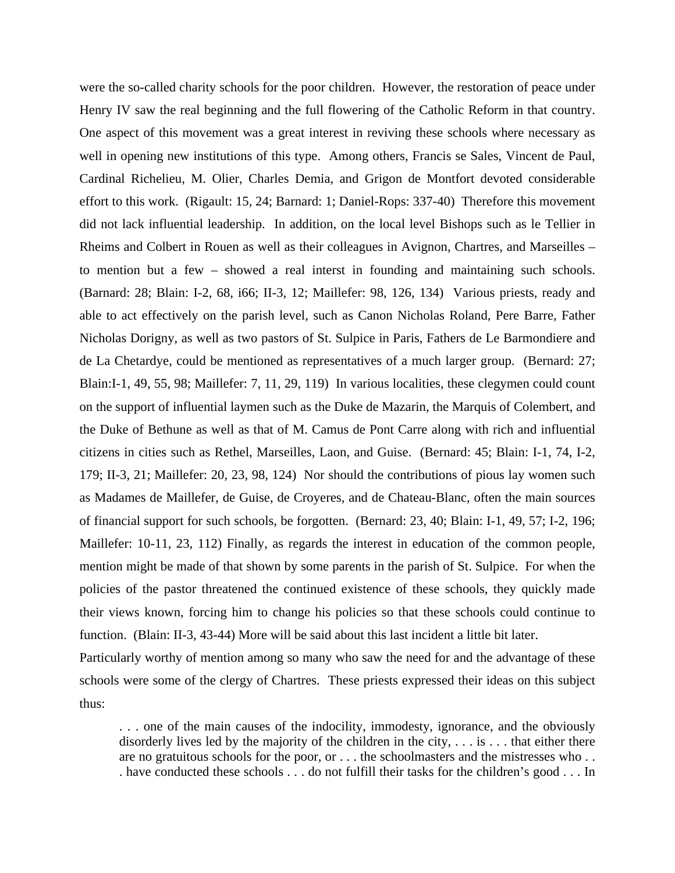were the so-called charity schools for the poor children. However, the restoration of peace under Henry IV saw the real beginning and the full flowering of the Catholic Reform in that country. One aspect of this movement was a great interest in reviving these schools where necessary as well in opening new institutions of this type. Among others, Francis se Sales, Vincent de Paul, Cardinal Richelieu, M. Olier, Charles Demia, and Grigon de Montfort devoted considerable effort to this work. (Rigault: 15, 24; Barnard: 1; Daniel-Rops: 337-40) Therefore this movement did not lack influential leadership. In addition, on the local level Bishops such as le Tellier in Rheims and Colbert in Rouen as well as their colleagues in Avignon, Chartres, and Marseilles – to mention but a few – showed a real interst in founding and maintaining such schools. (Barnard: 28; Blain: I-2, 68, i66; II-3, 12; Maillefer: 98, 126, 134) Various priests, ready and able to act effectively on the parish level, such as Canon Nicholas Roland, Pere Barre, Father Nicholas Dorigny, as well as two pastors of St. Sulpice in Paris, Fathers de Le Barmondiere and de La Chetardye, could be mentioned as representatives of a much larger group. (Bernard: 27; Blain:I-1, 49, 55, 98; Maillefer: 7, 11, 29, 119) In various localities, these clegymen could count on the support of influential laymen such as the Duke de Mazarin, the Marquis of Colembert, and the Duke of Bethune as well as that of M. Camus de Pont Carre along with rich and influential citizens in cities such as Rethel, Marseilles, Laon, and Guise. (Bernard: 45; Blain: I-1, 74, I-2, 179; II-3, 21; Maillefer: 20, 23, 98, 124) Nor should the contributions of pious lay women such as Madames de Maillefer, de Guise, de Croyeres, and de Chateau-Blanc, often the main sources of financial support for such schools, be forgotten. (Bernard: 23, 40; Blain: I-1, 49, 57; I-2, 196; Maillefer: 10-11, 23, 112) Finally, as regards the interest in education of the common people, mention might be made of that shown by some parents in the parish of St. Sulpice. For when the policies of the pastor threatened the continued existence of these schools, they quickly made their views known, forcing him to change his policies so that these schools could continue to function. (Blain: II-3, 43-44) More will be said about this last incident a little bit later.

Particularly worthy of mention among so many who saw the need for and the advantage of these schools were some of the clergy of Chartres. These priests expressed their ideas on this subject thus:

. . . one of the main causes of the indocility, immodesty, ignorance, and the obviously disorderly lives led by the majority of the children in the city,  $\dots$  is  $\dots$  that either there are no gratuitous schools for the poor, or . . . the schoolmasters and the mistresses who . . . have conducted these schools . . . do not fulfill their tasks for the children's good . . . In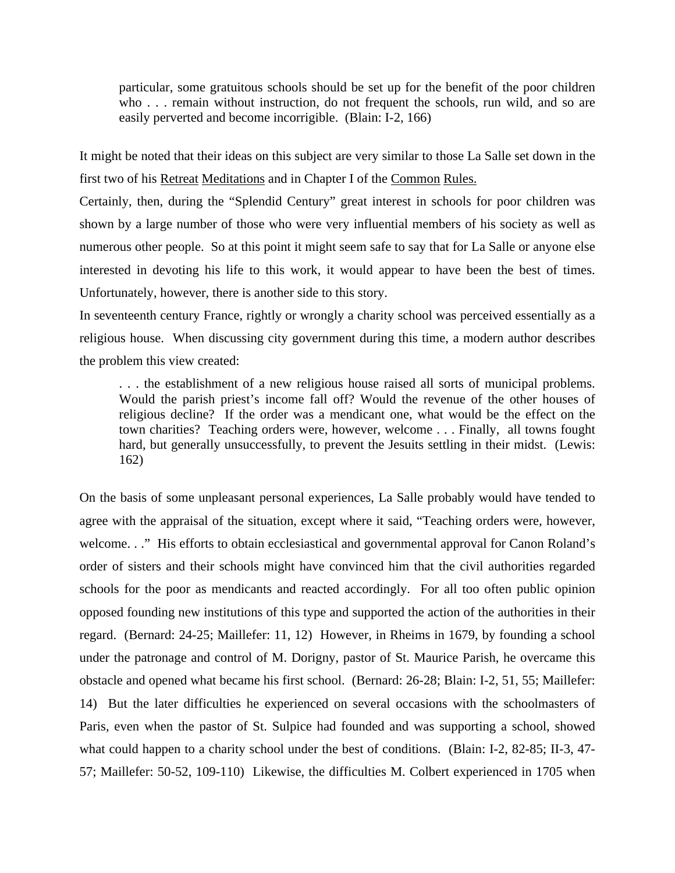particular, some gratuitous schools should be set up for the benefit of the poor children who . . . remain without instruction, do not frequent the schools, run wild, and so are easily perverted and become incorrigible. (Blain: I-2, 166)

It might be noted that their ideas on this subject are very similar to those La Salle set down in the first two of his Retreat Meditations and in Chapter I of the Common Rules.

Certainly, then, during the "Splendid Century" great interest in schools for poor children was shown by a large number of those who were very influential members of his society as well as numerous other people. So at this point it might seem safe to say that for La Salle or anyone else interested in devoting his life to this work, it would appear to have been the best of times. Unfortunately, however, there is another side to this story.

In seventeenth century France, rightly or wrongly a charity school was perceived essentially as a religious house. When discussing city government during this time, a modern author describes the problem this view created:

. . . the establishment of a new religious house raised all sorts of municipal problems. Would the parish priest's income fall off? Would the revenue of the other houses of religious decline? If the order was a mendicant one, what would be the effect on the town charities? Teaching orders were, however, welcome . . . Finally, all towns fought hard, but generally unsuccessfully, to prevent the Jesuits settling in their midst. (Lewis: 162)

On the basis of some unpleasant personal experiences, La Salle probably would have tended to agree with the appraisal of the situation, except where it said, "Teaching orders were, however, welcome. . ." His efforts to obtain ecclesiastical and governmental approval for Canon Roland's order of sisters and their schools might have convinced him that the civil authorities regarded schools for the poor as mendicants and reacted accordingly. For all too often public opinion opposed founding new institutions of this type and supported the action of the authorities in their regard. (Bernard: 24-25; Maillefer: 11, 12) However, in Rheims in 1679, by founding a school under the patronage and control of M. Dorigny, pastor of St. Maurice Parish, he overcame this obstacle and opened what became his first school. (Bernard: 26-28; Blain: I-2, 51, 55; Maillefer: 14) But the later difficulties he experienced on several occasions with the schoolmasters of Paris, even when the pastor of St. Sulpice had founded and was supporting a school, showed what could happen to a charity school under the best of conditions. (Blain: I-2, 82-85; II-3, 47- 57; Maillefer: 50-52, 109-110) Likewise, the difficulties M. Colbert experienced in 1705 when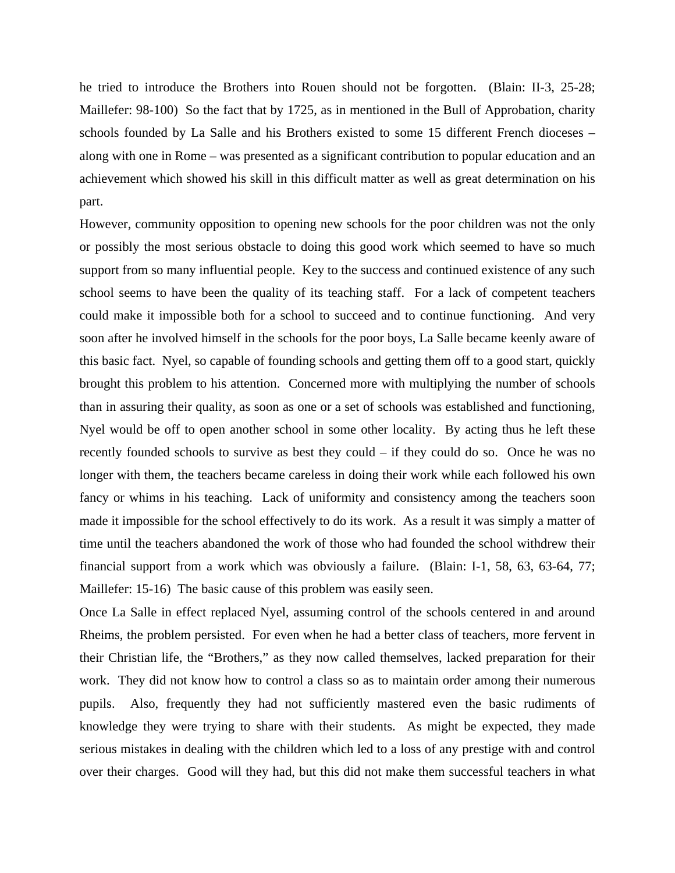he tried to introduce the Brothers into Rouen should not be forgotten. (Blain: II-3, 25-28; Maillefer: 98-100) So the fact that by 1725, as in mentioned in the Bull of Approbation, charity schools founded by La Salle and his Brothers existed to some 15 different French dioceses – along with one in Rome – was presented as a significant contribution to popular education and an achievement which showed his skill in this difficult matter as well as great determination on his part.

However, community opposition to opening new schools for the poor children was not the only or possibly the most serious obstacle to doing this good work which seemed to have so much support from so many influential people. Key to the success and continued existence of any such school seems to have been the quality of its teaching staff. For a lack of competent teachers could make it impossible both for a school to succeed and to continue functioning. And very soon after he involved himself in the schools for the poor boys, La Salle became keenly aware of this basic fact. Nyel, so capable of founding schools and getting them off to a good start, quickly brought this problem to his attention. Concerned more with multiplying the number of schools than in assuring their quality, as soon as one or a set of schools was established and functioning, Nyel would be off to open another school in some other locality. By acting thus he left these recently founded schools to survive as best they could – if they could do so. Once he was no longer with them, the teachers became careless in doing their work while each followed his own fancy or whims in his teaching. Lack of uniformity and consistency among the teachers soon made it impossible for the school effectively to do its work. As a result it was simply a matter of time until the teachers abandoned the work of those who had founded the school withdrew their financial support from a work which was obviously a failure. (Blain: I-1, 58, 63, 63-64, 77; Maillefer: 15-16) The basic cause of this problem was easily seen.

Once La Salle in effect replaced Nyel, assuming control of the schools centered in and around Rheims, the problem persisted. For even when he had a better class of teachers, more fervent in their Christian life, the "Brothers," as they now called themselves, lacked preparation for their work. They did not know how to control a class so as to maintain order among their numerous pupils. Also, frequently they had not sufficiently mastered even the basic rudiments of knowledge they were trying to share with their students. As might be expected, they made serious mistakes in dealing with the children which led to a loss of any prestige with and control over their charges. Good will they had, but this did not make them successful teachers in what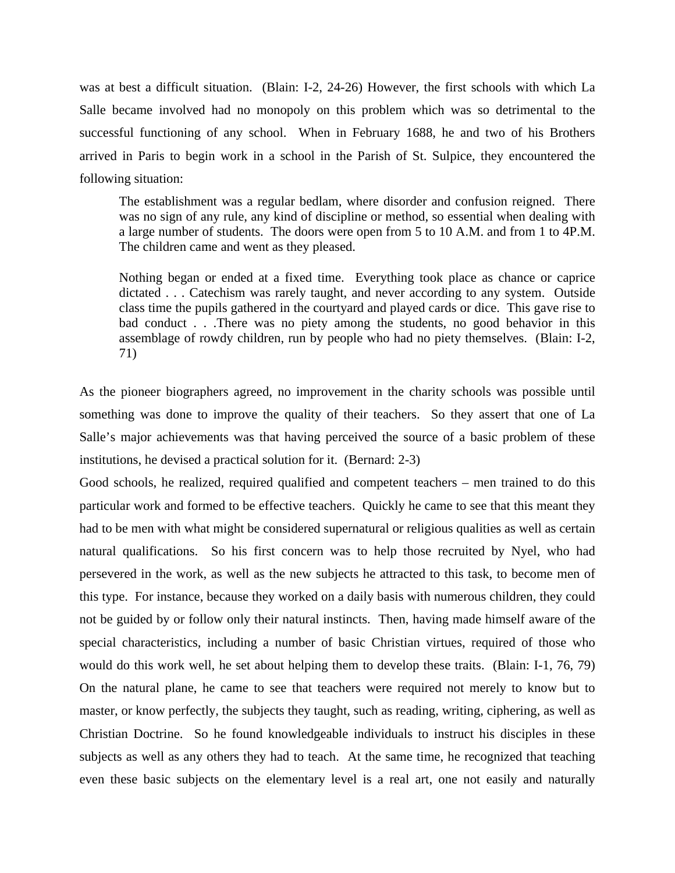was at best a difficult situation. (Blain: I-2, 24-26) However, the first schools with which La Salle became involved had no monopoly on this problem which was so detrimental to the successful functioning of any school. When in February 1688, he and two of his Brothers arrived in Paris to begin work in a school in the Parish of St. Sulpice, they encountered the following situation:

The establishment was a regular bedlam, where disorder and confusion reigned. There was no sign of any rule, any kind of discipline or method, so essential when dealing with a large number of students. The doors were open from 5 to 10 A.M. and from 1 to 4P.M. The children came and went as they pleased.

Nothing began or ended at a fixed time. Everything took place as chance or caprice dictated . . . Catechism was rarely taught, and never according to any system. Outside class time the pupils gathered in the courtyard and played cards or dice. This gave rise to bad conduct . . .There was no piety among the students, no good behavior in this assemblage of rowdy children, run by people who had no piety themselves. (Blain: I-2, 71)

As the pioneer biographers agreed, no improvement in the charity schools was possible until something was done to improve the quality of their teachers. So they assert that one of La Salle's major achievements was that having perceived the source of a basic problem of these institutions, he devised a practical solution for it. (Bernard: 2-3)

Good schools, he realized, required qualified and competent teachers – men trained to do this particular work and formed to be effective teachers. Quickly he came to see that this meant they had to be men with what might be considered supernatural or religious qualities as well as certain natural qualifications. So his first concern was to help those recruited by Nyel, who had persevered in the work, as well as the new subjects he attracted to this task, to become men of this type. For instance, because they worked on a daily basis with numerous children, they could not be guided by or follow only their natural instincts. Then, having made himself aware of the special characteristics, including a number of basic Christian virtues, required of those who would do this work well, he set about helping them to develop these traits. (Blain: I-1, 76, 79) On the natural plane, he came to see that teachers were required not merely to know but to master, or know perfectly, the subjects they taught, such as reading, writing, ciphering, as well as Christian Doctrine. So he found knowledgeable individuals to instruct his disciples in these subjects as well as any others they had to teach. At the same time, he recognized that teaching even these basic subjects on the elementary level is a real art, one not easily and naturally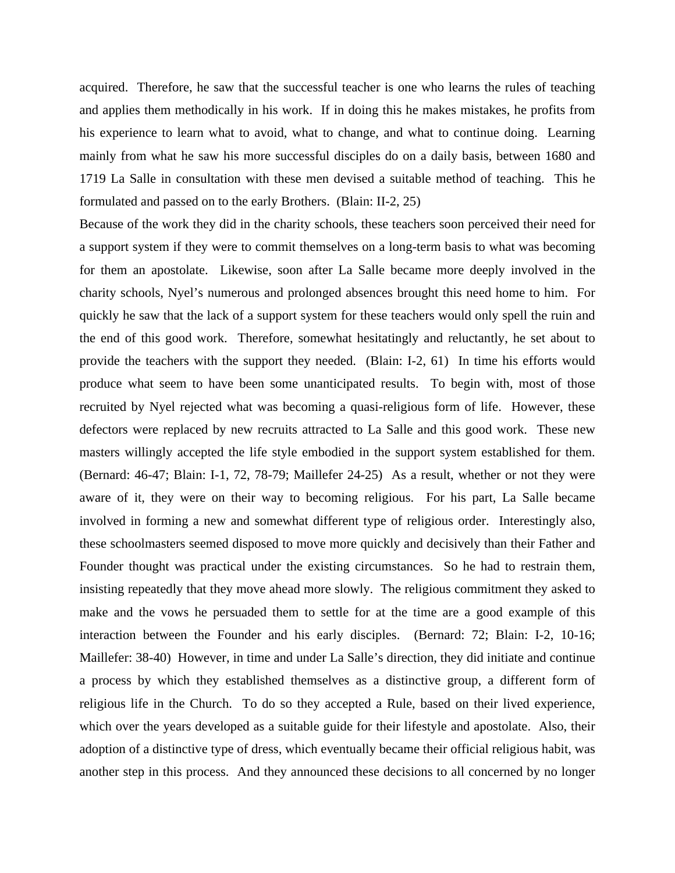acquired. Therefore, he saw that the successful teacher is one who learns the rules of teaching and applies them methodically in his work. If in doing this he makes mistakes, he profits from his experience to learn what to avoid, what to change, and what to continue doing. Learning mainly from what he saw his more successful disciples do on a daily basis, between 1680 and 1719 La Salle in consultation with these men devised a suitable method of teaching. This he formulated and passed on to the early Brothers. (Blain: II-2, 25)

Because of the work they did in the charity schools, these teachers soon perceived their need for a support system if they were to commit themselves on a long-term basis to what was becoming for them an apostolate. Likewise, soon after La Salle became more deeply involved in the charity schools, Nyel's numerous and prolonged absences brought this need home to him. For quickly he saw that the lack of a support system for these teachers would only spell the ruin and the end of this good work. Therefore, somewhat hesitatingly and reluctantly, he set about to provide the teachers with the support they needed. (Blain: I-2, 61) In time his efforts would produce what seem to have been some unanticipated results. To begin with, most of those recruited by Nyel rejected what was becoming a quasi-religious form of life. However, these defectors were replaced by new recruits attracted to La Salle and this good work. These new masters willingly accepted the life style embodied in the support system established for them. (Bernard: 46-47; Blain: I-1, 72, 78-79; Maillefer 24-25) As a result, whether or not they were aware of it, they were on their way to becoming religious. For his part, La Salle became involved in forming a new and somewhat different type of religious order. Interestingly also, these schoolmasters seemed disposed to move more quickly and decisively than their Father and Founder thought was practical under the existing circumstances. So he had to restrain them, insisting repeatedly that they move ahead more slowly. The religious commitment they asked to make and the vows he persuaded them to settle for at the time are a good example of this interaction between the Founder and his early disciples. (Bernard: 72; Blain: I-2, 10-16; Maillefer: 38-40) However, in time and under La Salle's direction, they did initiate and continue a process by which they established themselves as a distinctive group, a different form of religious life in the Church. To do so they accepted a Rule, based on their lived experience, which over the years developed as a suitable guide for their lifestyle and apostolate. Also, their adoption of a distinctive type of dress, which eventually became their official religious habit, was another step in this process. And they announced these decisions to all concerned by no longer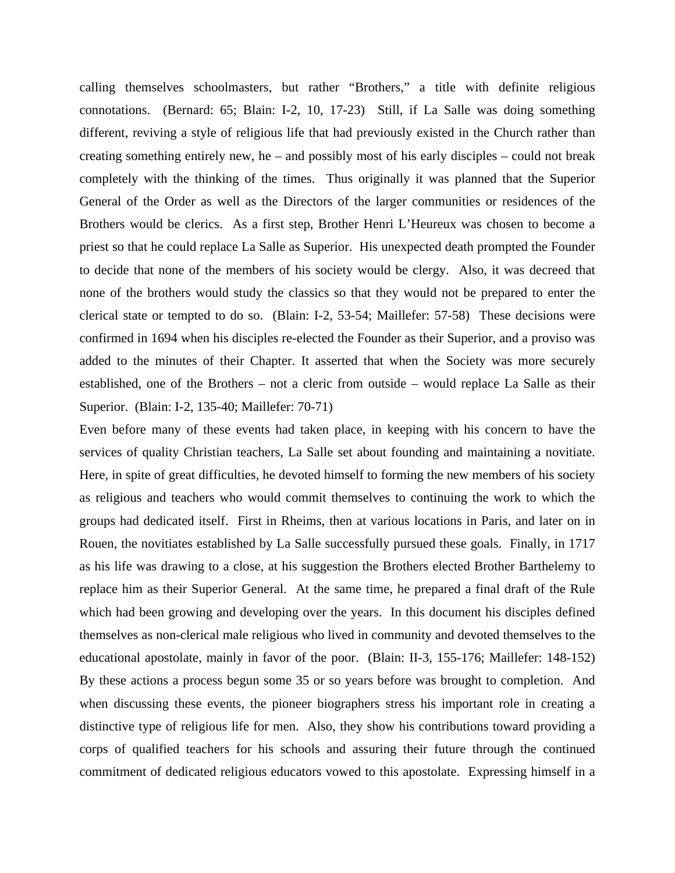calling themselves schoolmasters, but rather "Brothers," a title with definite religious connotations. (Bernard: 65; Blain: I-2, 10, 17-23) Still, if La Salle was doing something different, reviving a style of religious life that had previously existed in the Church rather than creating something entirely new, he – and possibly most of his early disciples – could not break completely with the thinking of the times. Thus originally it was planned that the Superior General of the Order as well as the Directors of the larger communities or residences of the Brothers would be clerics. As a first step, Brother Henri L'Heureux was chosen to become a priest so that he could replace La Salle as Superior. His unexpected death prompted the Founder to decide that none of the members of his society would be clergy. Also, it was decreed that none of the brothers would study the classics so that they would not be prepared to enter the clerical state or tempted to do so. (Blain: I-2, 53-54; Maillefer: 57-58) These decisions were confirmed in 1694 when his disciples re-elected the Founder as their Superior, and a proviso was added to the minutes of their Chapter. It asserted that when the Society was more securely established, one of the Brothers – not a cleric from outside – would replace La Salle as their Superior. (Blain: I-2, 135-40; Maillefer: 70-71)

Even before many of these events had taken place, in keeping with his concern to have the services of quality Christian teachers, La Salle set about founding and maintaining a novitiate. Here, in spite of great difficulties, he devoted himself to forming the new members of his society as religious and teachers who would commit themselves to continuing the work to which the groups had dedicated itself. First in Rheims, then at various locations in Paris, and later on in Rouen, the novitiates established by La Salle successfully pursued these goals. Finally, in 1717 as his life was drawing to a close, at his suggestion the Brothers elected Brother Barthelemy to replace him as their Superior General. At the same time, he prepared a final draft of the Rule which had been growing and developing over the years. In this document his disciples defined themselves as non-clerical male religious who lived in community and devoted themselves to the educational apostolate, mainly in favor of the poor. (Blain: II-3, 155-176; Maillefer: 148-152) By these actions a process begun some 35 or so years before was brought to completion. And when discussing these events, the pioneer biographers stress his important role in creating a distinctive type of religious life for men. Also, they show his contributions toward providing a corps of qualified teachers for his schools and assuring their future through the continued commitment of dedicated religious educators vowed to this apostolate. Expressing himself in a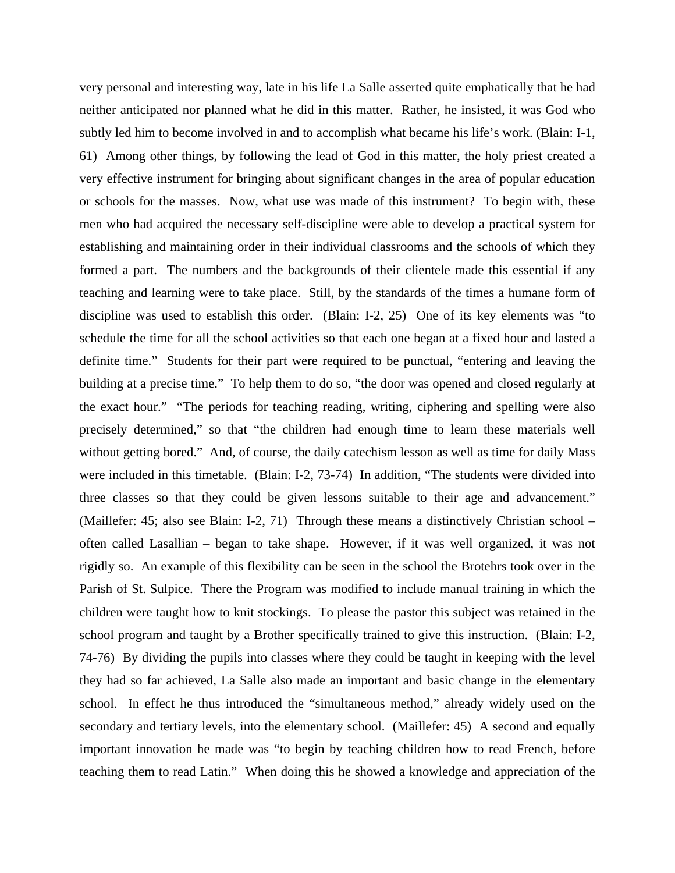very personal and interesting way, late in his life La Salle asserted quite emphatically that he had neither anticipated nor planned what he did in this matter. Rather, he insisted, it was God who subtly led him to become involved in and to accomplish what became his life's work. (Blain: I-1, 61) Among other things, by following the lead of God in this matter, the holy priest created a very effective instrument for bringing about significant changes in the area of popular education or schools for the masses. Now, what use was made of this instrument? To begin with, these men who had acquired the necessary self-discipline were able to develop a practical system for establishing and maintaining order in their individual classrooms and the schools of which they formed a part. The numbers and the backgrounds of their clientele made this essential if any teaching and learning were to take place. Still, by the standards of the times a humane form of discipline was used to establish this order. (Blain: I-2, 25) One of its key elements was "to schedule the time for all the school activities so that each one began at a fixed hour and lasted a definite time." Students for their part were required to be punctual, "entering and leaving the building at a precise time." To help them to do so, "the door was opened and closed regularly at the exact hour." "The periods for teaching reading, writing, ciphering and spelling were also precisely determined," so that "the children had enough time to learn these materials well without getting bored." And, of course, the daily cate chism lesson as well as time for daily Mass were included in this timetable. (Blain: I-2, 73-74) In addition, "The students were divided into three classes so that they could be given lessons suitable to their age and advancement." (Maillefer: 45; also see Blain: I-2, 71) Through these means a distinctively Christian school – often called Lasallian – began to take shape. However, if it was well organized, it was not rigidly so. An example of this flexibility can be seen in the school the Brotehrs took over in the Parish of St. Sulpice. There the Program was modified to include manual training in which the children were taught how to knit stockings. To please the pastor this subject was retained in the school program and taught by a Brother specifically trained to give this instruction. (Blain: I-2, 74-76) By dividing the pupils into classes where they could be taught in keeping with the level they had so far achieved, La Salle also made an important and basic change in the elementary school. In effect he thus introduced the "simultaneous method," already widely used on the secondary and tertiary levels, into the elementary school. (Maillefer: 45) A second and equally important innovation he made was "to begin by teaching children how to read French, before teaching them to read Latin." When doing this he showed a knowledge and appreciation of the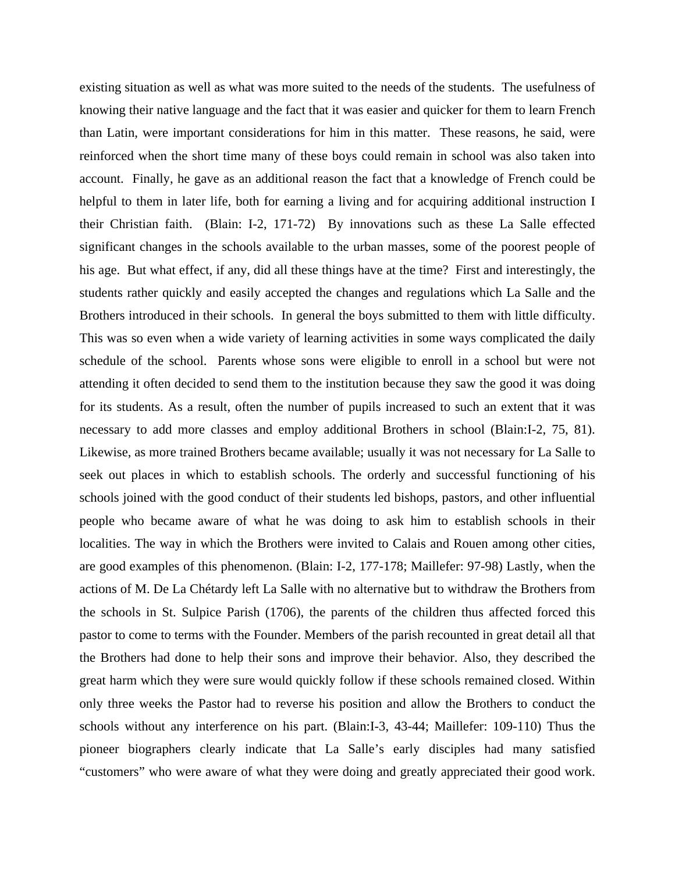existing situation as well as what was more suited to the needs of the students. The usefulness of knowing their native language and the fact that it was easier and quicker for them to learn French than Latin, were important considerations for him in this matter. These reasons, he said, were reinforced when the short time many of these boys could remain in school was also taken into account. Finally, he gave as an additional reason the fact that a knowledge of French could be helpful to them in later life, both for earning a living and for acquiring additional instruction I their Christian faith. (Blain: I-2, 171-72) By innovations such as these La Salle effected significant changes in the schools available to the urban masses, some of the poorest people of his age. But what effect, if any, did all these things have at the time? First and interestingly, the students rather quickly and easily accepted the changes and regulations which La Salle and the Brothers introduced in their schools. In general the boys submitted to them with little difficulty. This was so even when a wide variety of learning activities in some ways complicated the daily schedule of the school. Parents whose sons were eligible to enroll in a school but were not attending it often decided to send them to the institution because they saw the good it was doing for its students. As a result, often the number of pupils increased to such an extent that it was necessary to add more classes and employ additional Brothers in school (Blain:I-2, 75, 81). Likewise, as more trained Brothers became available; usually it was not necessary for La Salle to seek out places in which to establish schools. The orderly and successful functioning of his schools joined with the good conduct of their students led bishops, pastors, and other influential people who became aware of what he was doing to ask him to establish schools in their localities. The way in which the Brothers were invited to Calais and Rouen among other cities, are good examples of this phenomenon. (Blain: I-2, 177-178; Maillefer: 97-98) Lastly, when the actions of M. De La Chétardy left La Salle with no alternative but to withdraw the Brothers from the schools in St. Sulpice Parish (1706), the parents of the children thus affected forced this pastor to come to terms with the Founder. Members of the parish recounted in great detail all that the Brothers had done to help their sons and improve their behavior. Also, they described the great harm which they were sure would quickly follow if these schools remained closed. Within only three weeks the Pastor had to reverse his position and allow the Brothers to conduct the schools without any interference on his part. (Blain:I-3, 43-44; Maillefer: 109-110) Thus the pioneer biographers clearly indicate that La Salle's early disciples had many satisfied "customers" who were aware of what they were doing and greatly appreciated their good work.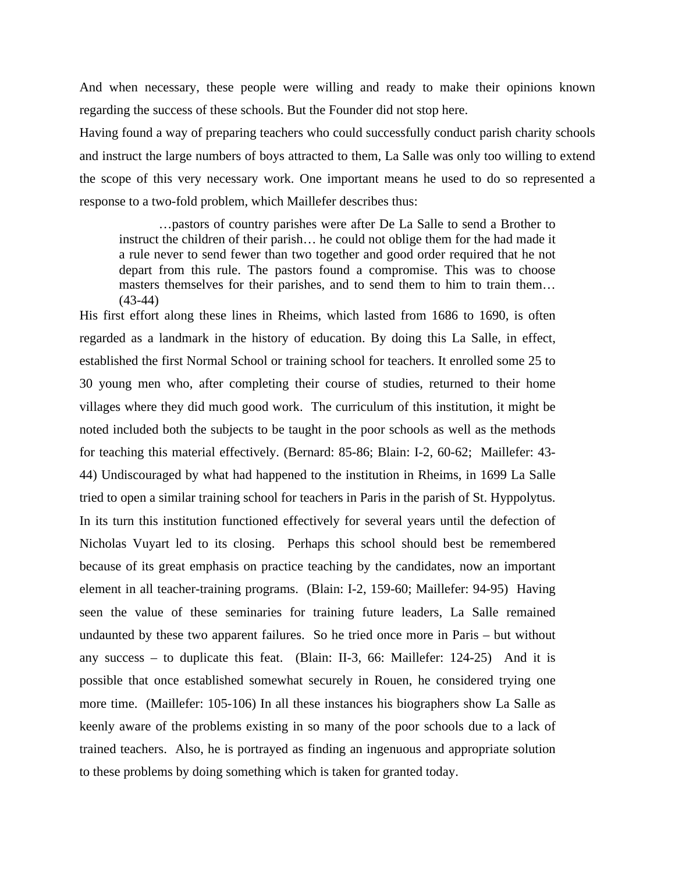And when necessary, these people were willing and ready to make their opinions known regarding the success of these schools. But the Founder did not stop here.

Having found a way of preparing teachers who could successfully conduct parish charity schools and instruct the large numbers of boys attracted to them, La Salle was only too willing to extend the scope of this very necessary work. One important means he used to do so represented a response to a two-fold problem, which Maillefer describes thus:

 …pastors of country parishes were after De La Salle to send a Brother to instruct the children of their parish… he could not oblige them for the had made it a rule never to send fewer than two together and good order required that he not depart from this rule. The pastors found a compromise. This was to choose masters themselves for their parishes, and to send them to him to train them… (43-44)

His first effort along these lines in Rheims, which lasted from 1686 to 1690, is often regarded as a landmark in the history of education. By doing this La Salle, in effect, established the first Normal School or training school for teachers. It enrolled some 25 to 30 young men who, after completing their course of studies, returned to their home villages where they did much good work. The curriculum of this institution, it might be noted included both the subjects to be taught in the poor schools as well as the methods for teaching this material effectively. (Bernard: 85-86; Blain: I-2, 60-62; Maillefer: 43- 44) Undiscouraged by what had happened to the institution in Rheims, in 1699 La Salle tried to open a similar training school for teachers in Paris in the parish of St. Hyppolytus. In its turn this institution functioned effectively for several years until the defection of Nicholas Vuyart led to its closing. Perhaps this school should best be remembered because of its great emphasis on practice teaching by the candidates, now an important element in all teacher-training programs. (Blain: I-2, 159-60; Maillefer: 94-95) Having seen the value of these seminaries for training future leaders, La Salle remained undaunted by these two apparent failures. So he tried once more in Paris – but without any success – to duplicate this feat. (Blain: II-3, 66: Maillefer: 124-25) And it is possible that once established somewhat securely in Rouen, he considered trying one more time. (Maillefer: 105-106) In all these instances his biographers show La Salle as keenly aware of the problems existing in so many of the poor schools due to a lack of trained teachers. Also, he is portrayed as finding an ingenuous and appropriate solution to these problems by doing something which is taken for granted today.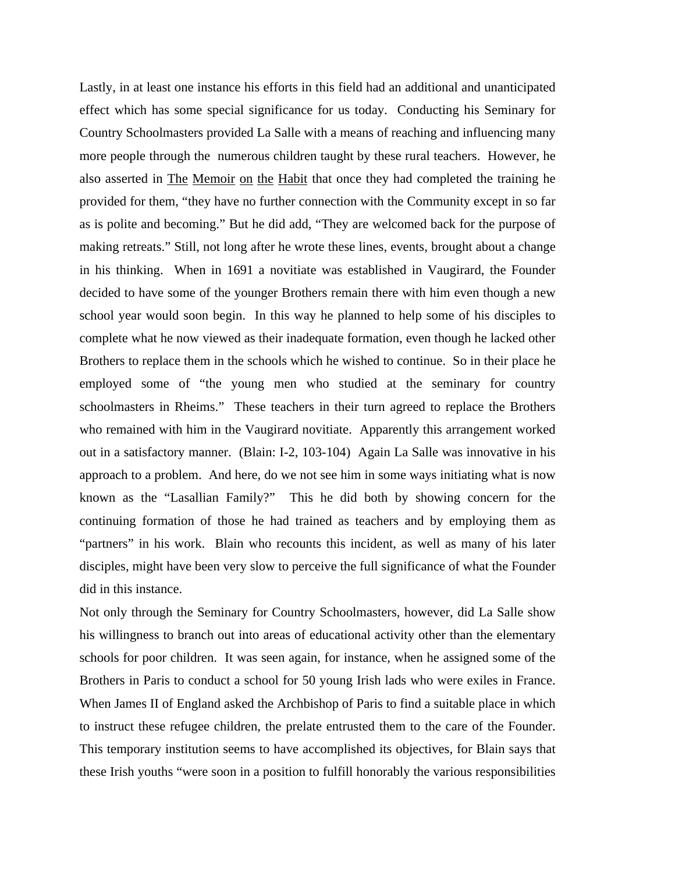Lastly, in at least one instance his efforts in this field had an additional and unanticipated effect which has some special significance for us today. Conducting his Seminary for Country Schoolmasters provided La Salle with a means of reaching and influencing many more people through the numerous children taught by these rural teachers. However, he also asserted in The Memoir on the Habit that once they had completed the training he provided for them, "they have no further connection with the Community except in so far as is polite and becoming." But he did add, "They are welcomed back for the purpose of making retreats." Still, not long after he wrote these lines, events, brought about a change in his thinking. When in 1691 a novitiate was established in Vaugirard, the Founder decided to have some of the younger Brothers remain there with him even though a new school year would soon begin. In this way he planned to help some of his disciples to complete what he now viewed as their inadequate formation, even though he lacked other Brothers to replace them in the schools which he wished to continue. So in their place he employed some of "the young men who studied at the seminary for country schoolmasters in Rheims." These teachers in their turn agreed to replace the Brothers who remained with him in the Vaugirard novitiate. Apparently this arrangement worked out in a satisfactory manner. (Blain: I-2, 103-104) Again La Salle was innovative in his approach to a problem. And here, do we not see him in some ways initiating what is now known as the "Lasallian Family?" This he did both by showing concern for the continuing formation of those he had trained as teachers and by employing them as "partners" in his work. Blain who recounts this incident, as well as many of his later disciples, might have been very slow to perceive the full significance of what the Founder did in this instance.

Not only through the Seminary for Country Schoolmasters, however, did La Salle show his willingness to branch out into areas of educational activity other than the elementary schools for poor children. It was seen again, for instance, when he assigned some of the Brothers in Paris to conduct a school for 50 young Irish lads who were exiles in France. When James II of England asked the Archbishop of Paris to find a suitable place in which to instruct these refugee children, the prelate entrusted them to the care of the Founder. This temporary institution seems to have accomplished its objectives, for Blain says that these Irish youths "were soon in a position to fulfill honorably the various responsibilities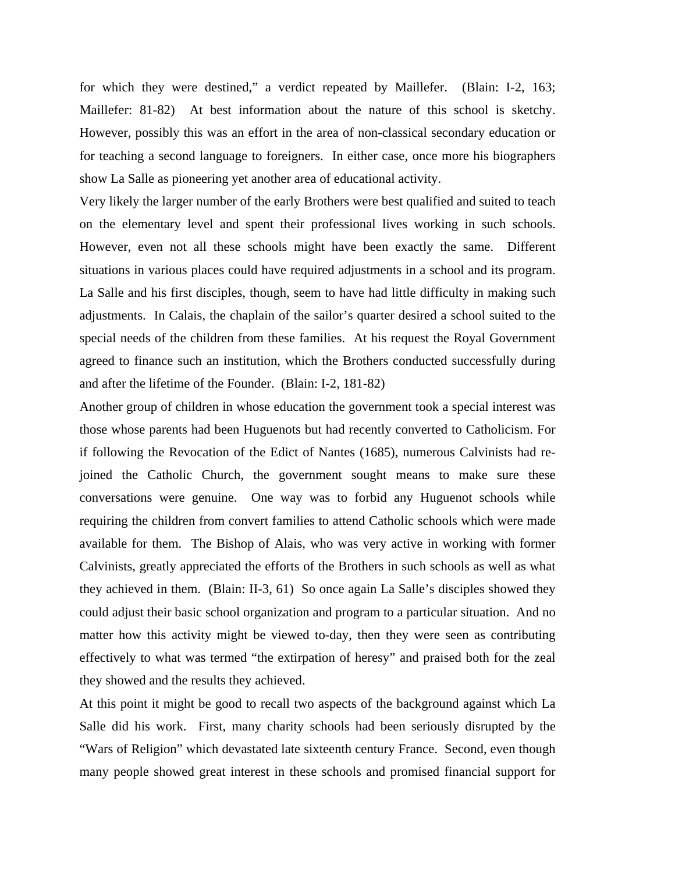for which they were destined," a verdict repeated by Maillefer. (Blain: I-2, 163; Maillefer: 81-82) At best information about the nature of this school is sketchy. However, possibly this was an effort in the area of non-classical secondary education or for teaching a second language to foreigners. In either case, once more his biographers show La Salle as pioneering yet another area of educational activity.

Very likely the larger number of the early Brothers were best qualified and suited to teach on the elementary level and spent their professional lives working in such schools. However, even not all these schools might have been exactly the same. Different situations in various places could have required adjustments in a school and its program. La Salle and his first disciples, though, seem to have had little difficulty in making such adjustments. In Calais, the chaplain of the sailor's quarter desired a school suited to the special needs of the children from these families. At his request the Royal Government agreed to finance such an institution, which the Brothers conducted successfully during and after the lifetime of the Founder. (Blain: I-2, 181-82)

Another group of children in whose education the government took a special interest was those whose parents had been Huguenots but had recently converted to Catholicism. For if following the Revocation of the Edict of Nantes (1685), numerous Calvinists had rejoined the Catholic Church, the government sought means to make sure these conversations were genuine. One way was to forbid any Huguenot schools while requiring the children from convert families to attend Catholic schools which were made available for them. The Bishop of Alais, who was very active in working with former Calvinists, greatly appreciated the efforts of the Brothers in such schools as well as what they achieved in them. (Blain: II-3, 61) So once again La Salle's disciples showed they could adjust their basic school organization and program to a particular situation. And no matter how this activity might be viewed to-day, then they were seen as contributing effectively to what was termed "the extirpation of heresy" and praised both for the zeal they showed and the results they achieved.

At this point it might be good to recall two aspects of the background against which La Salle did his work. First, many charity schools had been seriously disrupted by the "Wars of Religion" which devastated late sixteenth century France. Second, even though many people showed great interest in these schools and promised financial support for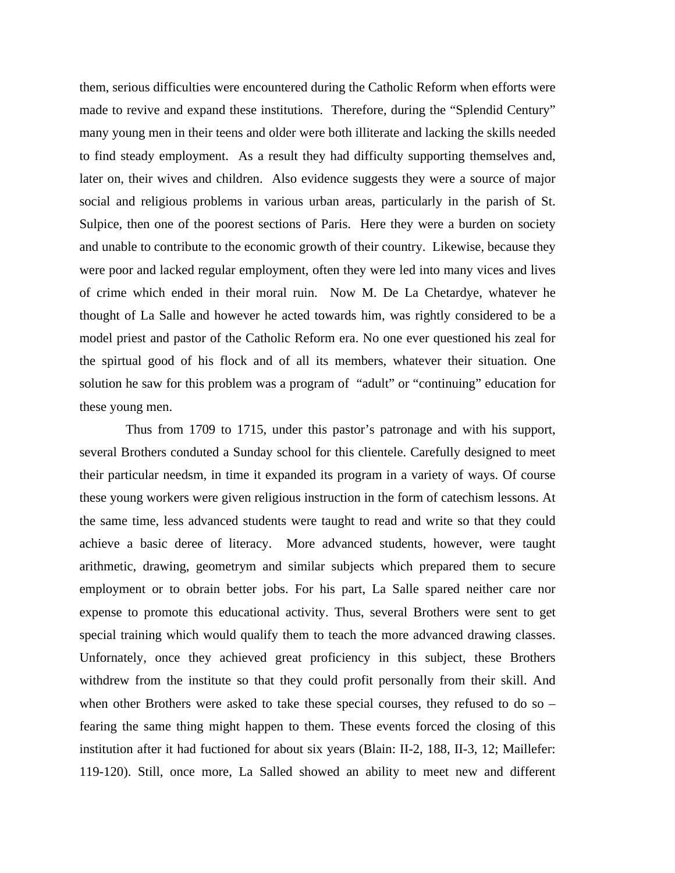them, serious difficulties were encountered during the Catholic Reform when efforts were made to revive and expand these institutions. Therefore, during the "Splendid Century" many young men in their teens and older were both illiterate and lacking the skills needed to find steady employment. As a result they had difficulty supporting themselves and, later on, their wives and children. Also evidence suggests they were a source of major social and religious problems in various urban areas, particularly in the parish of St. Sulpice, then one of the poorest sections of Paris. Here they were a burden on society and unable to contribute to the economic growth of their country. Likewise, because they were poor and lacked regular employment, often they were led into many vices and lives of crime which ended in their moral ruin. Now M. De La Chetardye, whatever he thought of La Salle and however he acted towards him, was rightly considered to be a model priest and pastor of the Catholic Reform era. No one ever questioned his zeal for the spirtual good of his flock and of all its members, whatever their situation. One solution he saw for this problem was a program of "adult" or "continuing" education for these young men.

 Thus from 1709 to 1715, under this pastor's patronage and with his support, several Brothers conduted a Sunday school for this clientele. Carefully designed to meet their particular needsm, in time it expanded its program in a variety of ways. Of course these young workers were given religious instruction in the form of catechism lessons. At the same time, less advanced students were taught to read and write so that they could achieve a basic deree of literacy. More advanced students, however, were taught arithmetic, drawing, geometrym and similar subjects which prepared them to secure employment or to obrain better jobs. For his part, La Salle spared neither care nor expense to promote this educational activity. Thus, several Brothers were sent to get special training which would qualify them to teach the more advanced drawing classes. Unfornately, once they achieved great proficiency in this subject, these Brothers withdrew from the institute so that they could profit personally from their skill. And when other Brothers were asked to take these special courses, they refused to do so – fearing the same thing might happen to them. These events forced the closing of this institution after it had fuctioned for about six years (Blain: II-2, 188, II-3, 12; Maillefer: 119-120). Still, once more, La Salled showed an ability to meet new and different